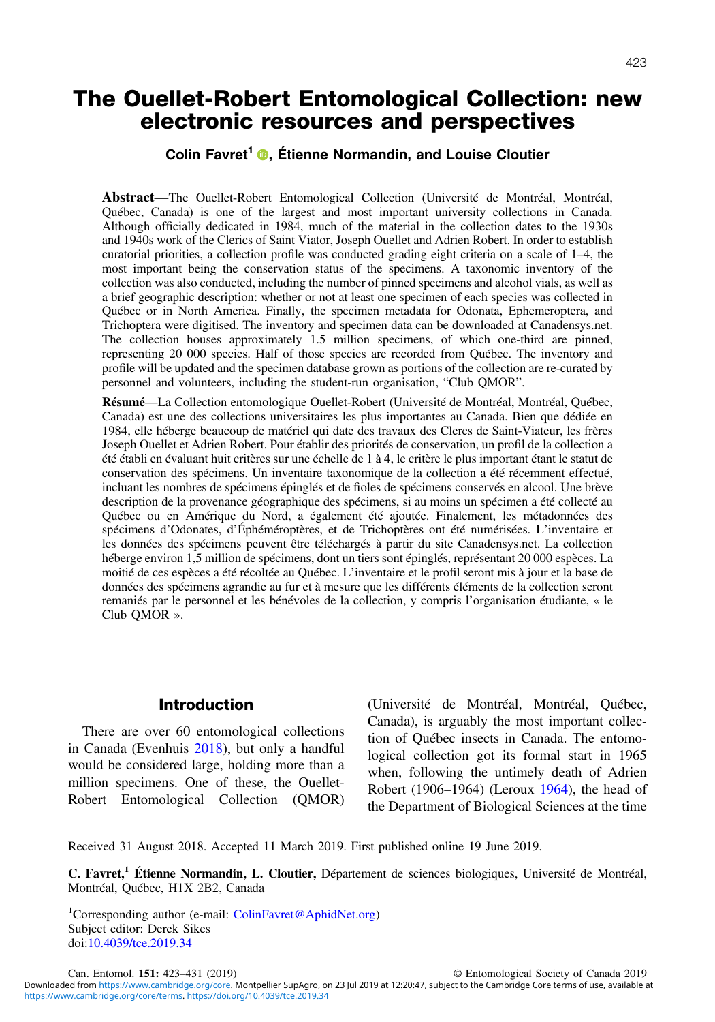# The Ouellet-Robert Entomological Collection: new electronic resources and perspectives

## Colin Favret<sup>1</sup> . Étienne Normandin, and Louise Cloutier

Abstract—The Ouellet-Robert Entomological Collection (Université de Montréal, Montréal, Québec, Canada) is one of the largest and most important university collections in Canada. Although officially dedicated in 1984, much of the material in the collection dates to the 1930s and 1940s work of the Clerics of Saint Viator, Joseph Ouellet and Adrien Robert. In order to establish curatorial priorities, a collection profile was conducted grading eight criteria on a scale of 1–4, the most important being the conservation status of the specimens. A taxonomic inventory of the collection was also conducted, including the number of pinned specimens and alcohol vials, as well as a brief geographic description: whether or not at least one specimen of each species was collected in Québec or in North America. Finally, the specimen metadata for Odonata, Ephemeroptera, and Trichoptera were digitised. The inventory and specimen data can be downloaded at Canadensys.net. The collection houses approximately 1.5 million specimens, of which one-third are pinned, representing 20 000 species. Half of those species are recorded from Québec. The inventory and profile will be updated and the specimen database grown as portions of the collection are re-curated by personnel and volunteers, including the student-run organisation, "Club QMOR".

Résumé—La Collection entomologique Ouellet-Robert (Université de Montréal, Montréal, Québec, Canada) est une des collections universitaires les plus importantes au Canada. Bien que dédiée en 1984, elle héberge beaucoup de matériel qui date des travaux des Clercs de Saint-Viateur, les frères Joseph Ouellet et Adrien Robert. Pour établir des priorités de conservation, un profil de la collection a été établi en évaluant huit critères sur une échelle de 1 à 4, le critère le plus important étant le statut de conservation des spécimens. Un inventaire taxonomique de la collection a été récemment effectué, incluant les nombres de spécimens épinglés et de fioles de spécimens conservés en alcool. Une brève description de la provenance géographique des spécimens, si au moins un spécimen a été collecté au Québec ou en Amérique du Nord, a également été ajoutée. Finalement, les métadonnées des spécimens d'Odonates, d'Éphéméroptères, et de Trichoptères ont été numérisées. L'inventaire et les données des spécimens peuvent être téléchargés à partir du site Canadensys.net. La collection héberge environ 1,5 million de spécimens, dont un tiers sont épinglés, représentant 20 000 espèces. La moitié de ces espèces a été récoltée au Québec. L'inventaire et le profil seront mis à jour et la base de données des spécimens agrandie au fur et à mesure que les différents éléments de la collection seront remaniés par le personnel et les bénévoles de la collection, y compris l'organisation étudiante, « le Club QMOR ».

## Introduction

There are over 60 entomological collections in Canada (Evenhuis [2018\)](#page-7-0), but only a handful would be considered large, holding more than a million specimens. One of these, the Ouellet-Robert Entomological Collection (QMOR) (Université de Montréal, Montréal, Québec, Canada), is arguably the most important collection of Québec insects in Canada. The entomological collection got its formal start in 1965 when, following the untimely death of Adrien Robert (1906–1964) (Leroux [1964](#page-7-0)), the head of the Department of Biological Sciences at the time

Received 31 August 2018. Accepted 11 March 2019. First published online 19 June 2019.

C. Favret,<sup>1</sup> Étienne Normandin, L. Cloutier, Département de sciences biologiques, Université de Montréal, Montréal, Québec, H1X 2B2, Canada

<sup>1</sup>Corresponding author (e-mail: [ColinFavret@AphidNet.org\)](mailto:ColinFavret@AphidNet.org) Subject editor: Derek Sikes doi:[10.4039/tce.2019.34](https://doi.org/10.4039/tce.2019.34)

Can. Entomol. 151: 423–431 (2019) © Entomological Society of Canada 2019 [https://www.cambridge.org/core/terms.](https://www.cambridge.org/core/terms) <https://doi.org/10.4039/tce.2019.34> Downloaded from [https://www.cambridge.org/core.](https://www.cambridge.org/core) Montpellier SupAgro, on 23 Jul 2019 at 12:20:47, subject to the Cambridge Core terms of use, available at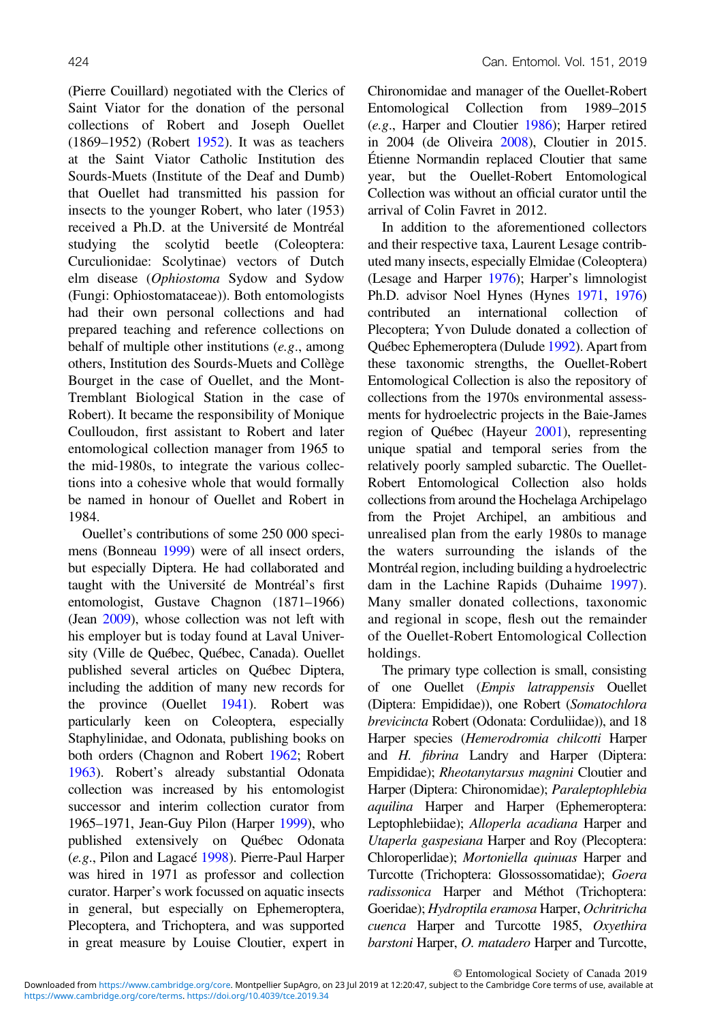(Pierre Couillard) negotiated with the Clerics of Saint Viator for the donation of the personal collections of Robert and Joseph Ouellet (1869–1952) (Robert [1952](#page-7-0)). It was as teachers at the Saint Viator Catholic Institution des Sourds-Muets (Institute of the Deaf and Dumb) that Ouellet had transmitted his passion for insects to the younger Robert, who later (1953) received a Ph.D. at the Université de Montréal studying the scolytid beetle (Coleoptera: Curculionidae: Scolytinae) vectors of Dutch elm disease (Ophiostoma Sydow and Sydow (Fungi: Ophiostomataceae)). Both entomologists had their own personal collections and had prepared teaching and reference collections on behalf of multiple other institutions (e.g., among others, Institution des Sourds-Muets and Collège Bourget in the case of Ouellet, and the Mont-Tremblant Biological Station in the case of Robert). It became the responsibility of Monique Coulloudon, first assistant to Robert and later entomological collection manager from 1965 to the mid-1980s, to integrate the various collections into a cohesive whole that would formally be named in honour of Ouellet and Robert in 1984.

Ouellet's contributions of some 250 000 specimens (Bonneau [1999](#page-6-0)) were of all insect orders, but especially Diptera. He had collaborated and taught with the Université de Montréal's first entomologist, Gustave Chagnon (1871–1966) (Jean [2009](#page-7-0)), whose collection was not left with his employer but is today found at Laval University (Ville de Québec, Québec, Canada). Ouellet published several articles on Québec Diptera, including the addition of many new records for the province (Ouellet [1941](#page-7-0)). Robert was particularly keen on Coleoptera, especially Staphylinidae, and Odonata, publishing books on both orders (Chagnon and Robert [1962](#page-6-0); Robert [1963\)](#page-7-0). Robert's already substantial Odonata collection was increased by his entomologist successor and interim collection curator from 1965–1971, Jean-Guy Pilon (Harper [1999\)](#page-7-0), who published extensively on Québec Odonata (e.g., Pilon and Lagacé [1998](#page-7-0)). Pierre-Paul Harper was hired in 1971 as professor and collection curator. Harper's work focussed on aquatic insects in general, but especially on Ephemeroptera, Plecoptera, and Trichoptera, and was supported in great measure by Louise Cloutier, expert in Chironomidae and manager of the Ouellet-Robert Entomological Collection from 1989–2015 (e.g., Harper and Cloutier [1986](#page-7-0)); Harper retired in 2004 (de Oliveira [2008](#page-7-0)), Cloutier in 2015. Étienne Normandin replaced Cloutier that same year, but the Ouellet-Robert Entomological Collection was without an official curator until the arrival of Colin Favret in 2012.

In addition to the aforementioned collectors and their respective taxa, Laurent Lesage contributed many insects, especially Elmidae (Coleoptera) (Lesage and Harper [1976\)](#page-7-0); Harper's limnologist Ph.D. advisor Noel Hynes (Hynes [1971,](#page-7-0) [1976\)](#page-7-0) contributed an international collection of Plecoptera; Yvon Dulude donated a collection of Québec Ephemeroptera (Dulude [1992\)](#page-7-0). Apart from these taxonomic strengths, the Ouellet-Robert Entomological Collection is also the repository of collections from the 1970s environmental assessments for hydroelectric projects in the Baie-James region of Québec (Hayeur [2001\)](#page-7-0), representing unique spatial and temporal series from the relatively poorly sampled subarctic. The Ouellet-Robert Entomological Collection also holds collections from around the Hochelaga Archipelago from the Projet Archipel, an ambitious and unrealised plan from the early 1980s to manage the waters surrounding the islands of the Montréal region, including building a hydroelectric dam in the Lachine Rapids (Duhaime [1997](#page-7-0)). Many smaller donated collections, taxonomic and regional in scope, flesh out the remainder of the Ouellet-Robert Entomological Collection holdings.

The primary type collection is small, consisting of one Ouellet (Empis latrappensis Ouellet (Diptera: Empididae)), one Robert (Somatochlora brevicincta Robert (Odonata: Corduliidae)), and 18 Harper species (Hemerodromia chilcotti Harper and H. fibrina Landry and Harper (Diptera: Empididae); Rheotanytarsus magnini Cloutier and Harper (Diptera: Chironomidae); Paraleptophlebia aquilina Harper and Harper (Ephemeroptera: Leptophlebiidae); Alloperla acadiana Harper and Utaperla gaspesiana Harper and Roy (Plecoptera: Chloroperlidae); Mortoniella quinuas Harper and Turcotte (Trichoptera: Glossossomatidae); Goera radissonica Harper and Méthot (Trichoptera: Goeridae); Hydroptila eramosa Harper, Ochritricha cuenca Harper and Turcotte 1985, Oxyethira barstoni Harper, O. matadero Harper and Turcotte,

© Entomological Society of Canada 2019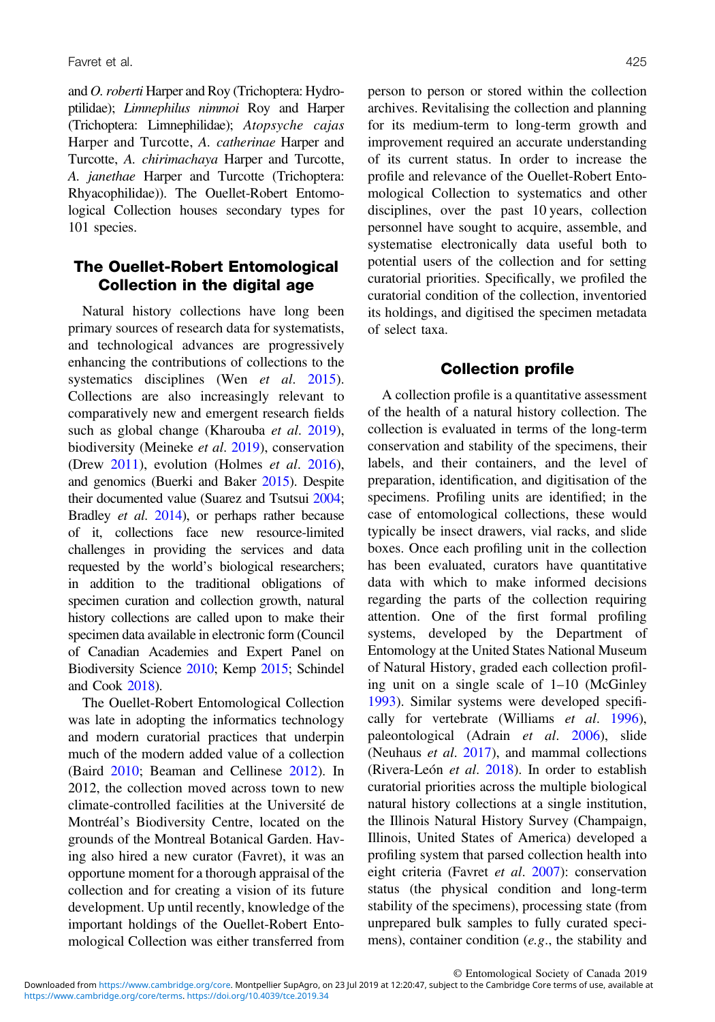and O. roberti Harper and Roy (Trichoptera: Hydroptilidae); Limnephilus nimmoi Roy and Harper (Trichoptera: Limnephilidae); Atopsyche cajas Harper and Turcotte, A. catherinae Harper and Turcotte, A. chirimachaya Harper and Turcotte, A. janethae Harper and Turcotte (Trichoptera: Rhyacophilidae)). The Ouellet-Robert Entomological Collection houses secondary types for 101 species.

# The Ouellet-Robert Entomological Collection in the digital age

Natural history collections have long been primary sources of research data for systematists, and technological advances are progressively enhancing the contributions of collections to the systematics disciplines (Wen *et al.* [2015](#page-8-0)). Collections are also increasingly relevant to comparatively new and emergent research fields such as global change (Kharouba et al. [2019](#page-7-0)), biodiversity (Meineke et al. [2019](#page-7-0)), conservation (Drew [2011](#page-7-0)), evolution (Holmes et al. [2016](#page-7-0)), and genomics (Buerki and Baker [2015](#page-6-0)). Despite their documented value (Suarez and Tsutsui [2004](#page-8-0); Bradley et al. [2014](#page-6-0)), or perhaps rather because of it, collections face new resource-limited challenges in providing the services and data requested by the world's biological researchers; in addition to the traditional obligations of specimen curation and collection growth, natural history collections are called upon to make their specimen data available in electronic form (Council of Canadian Academies and Expert Panel on Biodiversity Science [2010;](#page-6-0) Kemp [2015](#page-7-0); Schindel and Cook [2018](#page-8-0)).

The Ouellet-Robert Entomological Collection was late in adopting the informatics technology and modern curatorial practices that underpin much of the modern added value of a collection (Baird [2010](#page-6-0); Beaman and Cellinese [2012\)](#page-6-0). In 2012, the collection moved across town to new climate-controlled facilities at the Université de Montréal's Biodiversity Centre, located on the grounds of the Montreal Botanical Garden. Having also hired a new curator (Favret), it was an opportune moment for a thorough appraisal of the collection and for creating a vision of its future development. Up until recently, knowledge of the important holdings of the Ouellet-Robert Entomological Collection was either transferred from person to person or stored within the collection archives. Revitalising the collection and planning for its medium-term to long-term growth and improvement required an accurate understanding of its current status. In order to increase the profile and relevance of the Ouellet-Robert Entomological Collection to systematics and other disciplines, over the past 10 years, collection personnel have sought to acquire, assemble, and systematise electronically data useful both to potential users of the collection and for setting curatorial priorities. Specifically, we profiled the curatorial condition of the collection, inventoried its holdings, and digitised the specimen metadata of select taxa.

### Collection profile

A collection profile is a quantitative assessment of the health of a natural history collection. The collection is evaluated in terms of the long-term conservation and stability of the specimens, their labels, and their containers, and the level of preparation, identification, and digitisation of the specimens. Profiling units are identified; in the case of entomological collections, these would typically be insect drawers, vial racks, and slide boxes. Once each profiling unit in the collection has been evaluated, curators have quantitative data with which to make informed decisions regarding the parts of the collection requiring attention. One of the first formal profiling systems, developed by the Department of Entomology at the United States National Museum of Natural History, graded each collection profiling unit on a single scale of 1–10 (McGinley [1993](#page-7-0)). Similar systems were developed specifi-cally for vertebrate (Williams et al. [1996](#page-8-0)), paleontological (Adrain et al. [2006\)](#page-6-0), slide (Neuhaus et al. [2017\)](#page-7-0), and mammal collections (Rivera-León et al.  $2018$ ). In order to establish curatorial priorities across the multiple biological natural history collections at a single institution, the Illinois Natural History Survey (Champaign, Illinois, United States of America) developed a profiling system that parsed collection health into eight criteria (Favret et al. [2007\)](#page-7-0): conservation status (the physical condition and long-term stability of the specimens), processing state (from unprepared bulk samples to fully curated specimens), container condition (e.g., the stability and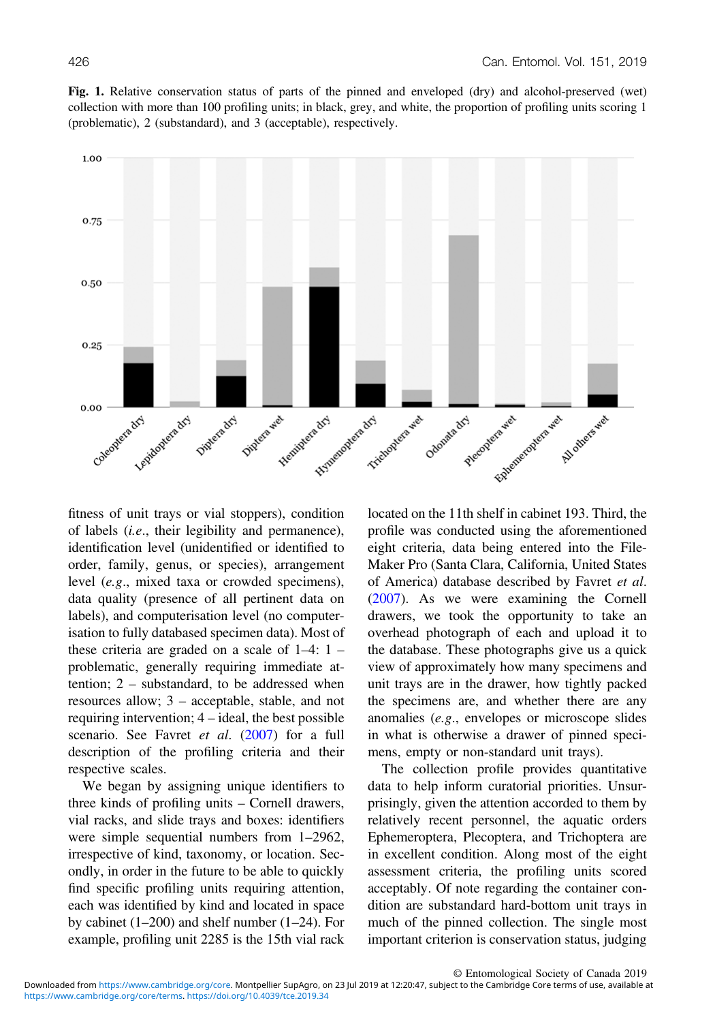Fig. 1. Relative conservation status of parts of the pinned and enveloped (dry) and alcohol-preserved (wet) collection with more than 100 profiling units; in black, grey, and white, the proportion of profiling units scoring 1 (problematic), 2 (substandard), and 3 (acceptable), respectively.



fitness of unit trays or vial stoppers), condition of labels (i.e., their legibility and permanence), identification level (unidentified or identified to order, family, genus, or species), arrangement level (e.g., mixed taxa or crowded specimens), data quality (presence of all pertinent data on labels), and computerisation level (no computerisation to fully databased specimen data). Most of these criteria are graded on a scale of 1–4: 1 – problematic, generally requiring immediate attention; 2 – substandard, to be addressed when resources allow; 3 – acceptable, stable, and not requiring intervention; 4 – ideal, the best possible scenario. See Favret et al. ([2007\)](#page-7-0) for a full description of the profiling criteria and their respective scales.

We began by assigning unique identifiers to three kinds of profiling units – Cornell drawers, vial racks, and slide trays and boxes: identifiers were simple sequential numbers from 1–2962, irrespective of kind, taxonomy, or location. Secondly, in order in the future to be able to quickly find specific profiling units requiring attention, each was identified by kind and located in space by cabinet (1–200) and shelf number (1–24). For example, profiling unit 2285 is the 15th vial rack located on the 11th shelf in cabinet 193. Third, the profile was conducted using the aforementioned eight criteria, data being entered into the File-Maker Pro (Santa Clara, California, United States of America) database described by Favret et al. [\(2007\)](#page-7-0). As we were examining the Cornell drawers, we took the opportunity to take an overhead photograph of each and upload it to the database. These photographs give us a quick view of approximately how many specimens and unit trays are in the drawer, how tightly packed the specimens are, and whether there are any anomalies (e.g., envelopes or microscope slides in what is otherwise a drawer of pinned specimens, empty or non-standard unit trays).

The collection profile provides quantitative data to help inform curatorial priorities. Unsurprisingly, given the attention accorded to them by relatively recent personnel, the aquatic orders Ephemeroptera, Plecoptera, and Trichoptera are in excellent condition. Along most of the eight assessment criteria, the profiling units scored acceptably. Of note regarding the container condition are substandard hard-bottom unit trays in much of the pinned collection. The single most important criterion is conservation status, judging

<span id="page-3-0"></span>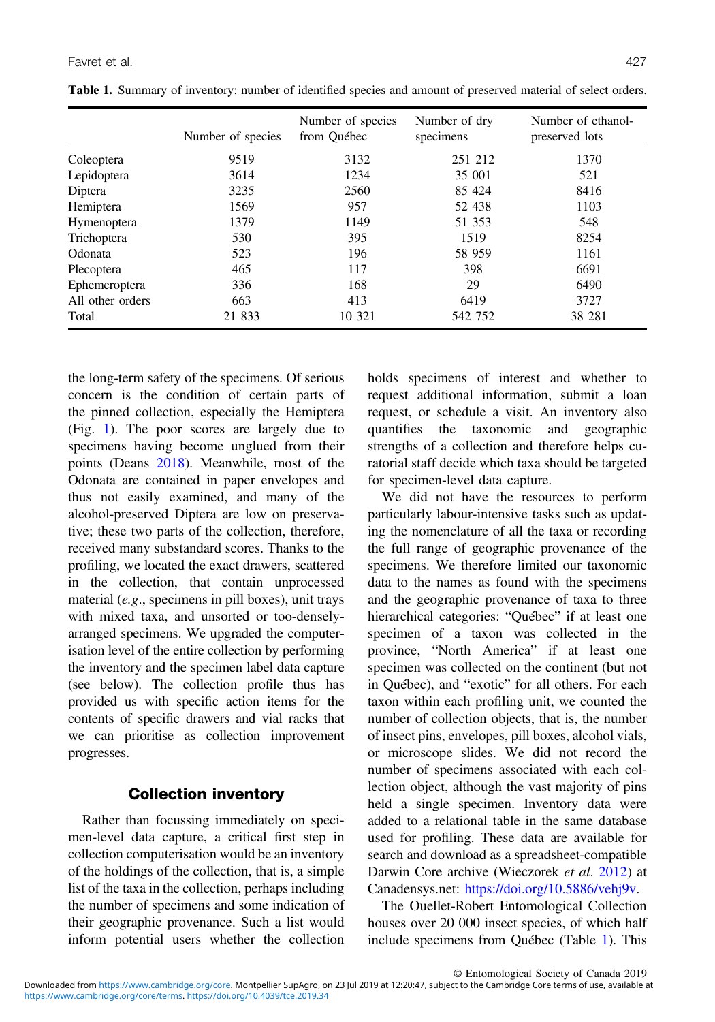|                  | Number of species | Number of species<br>from Québec | Number of dry<br>specimens | Number of ethanol-<br>preserved lots |
|------------------|-------------------|----------------------------------|----------------------------|--------------------------------------|
| Coleoptera       | 9519              | 3132                             | 251 212                    | 1370                                 |
| Lepidoptera      | 3614              | 1234                             | 35 001                     | 521                                  |
| Diptera          | 3235              | 2560                             | 85 424                     | 8416                                 |
| Hemiptera        | 1569              | 957                              | 52 438                     | 1103                                 |
| Hymenoptera      | 1379              | 1149                             | 51 353                     | 548                                  |
| Trichoptera      | 530               | 395                              | 1519                       | 8254                                 |
| Odonata          | 523               | 196                              | 58 959                     | 1161                                 |
| Plecoptera       | 465               | 117                              | 398                        | 6691                                 |
| Ephemeroptera    | 336               | 168                              | 29                         | 6490                                 |
| All other orders | 663               | 413                              | 6419                       | 3727                                 |
| Total            | 21 833            | 10 321                           | 542 752                    | 38 281                               |

Table 1. Summary of inventory: number of identified species and amount of preserved material of select orders.

the long-term safety of the specimens. Of serious concern is the condition of certain parts of the pinned collection, especially the Hemiptera (Fig. [1\)](#page-3-0). The poor scores are largely due to specimens having become unglued from their points (Deans [2018](#page-7-0)). Meanwhile, most of the Odonata are contained in paper envelopes and thus not easily examined, and many of the alcohol-preserved Diptera are low on preservative; these two parts of the collection, therefore, received many substandard scores. Thanks to the profiling, we located the exact drawers, scattered in the collection, that contain unprocessed material (e.g., specimens in pill boxes), unit trays with mixed taxa, and unsorted or too-denselyarranged specimens. We upgraded the computerisation level of the entire collection by performing the inventory and the specimen label data capture (see below). The collection profile thus has provided us with specific action items for the contents of specific drawers and vial racks that we can prioritise as collection improvement progresses.

## Collection inventory

Rather than focussing immediately on specimen-level data capture, a critical first step in collection computerisation would be an inventory of the holdings of the collection, that is, a simple list of the taxa in the collection, perhaps including the number of specimens and some indication of their geographic provenance. Such a list would inform potential users whether the collection holds specimens of interest and whether to request additional information, submit a loan request, or schedule a visit. An inventory also quantifies the taxonomic and geographic strengths of a collection and therefore helps curatorial staff decide which taxa should be targeted for specimen-level data capture.

We did not have the resources to perform particularly labour-intensive tasks such as updating the nomenclature of all the taxa or recording the full range of geographic provenance of the specimens. We therefore limited our taxonomic data to the names as found with the specimens and the geographic provenance of taxa to three hierarchical categories: "Québec" if at least one specimen of a taxon was collected in the province, "North America" if at least one specimen was collected on the continent (but not in Québec), and "exotic" for all others. For each taxon within each profiling unit, we counted the number of collection objects, that is, the number of insect pins, envelopes, pill boxes, alcohol vials, or microscope slides. We did not record the number of specimens associated with each collection object, although the vast majority of pins held a single specimen. Inventory data were added to a relational table in the same database used for profiling. These data are available for search and download as a spreadsheet-compatible Darwin Core archive (Wieczorek et al. [2012](#page-8-0)) at Canadensys.net: [https://doi.org/10.5886/vehj9v.](https://doi.org/10.5886/vehj9v)

The Ouellet-Robert Entomological Collection houses over 20 000 insect species, of which half include specimens from Québec (Table 1). This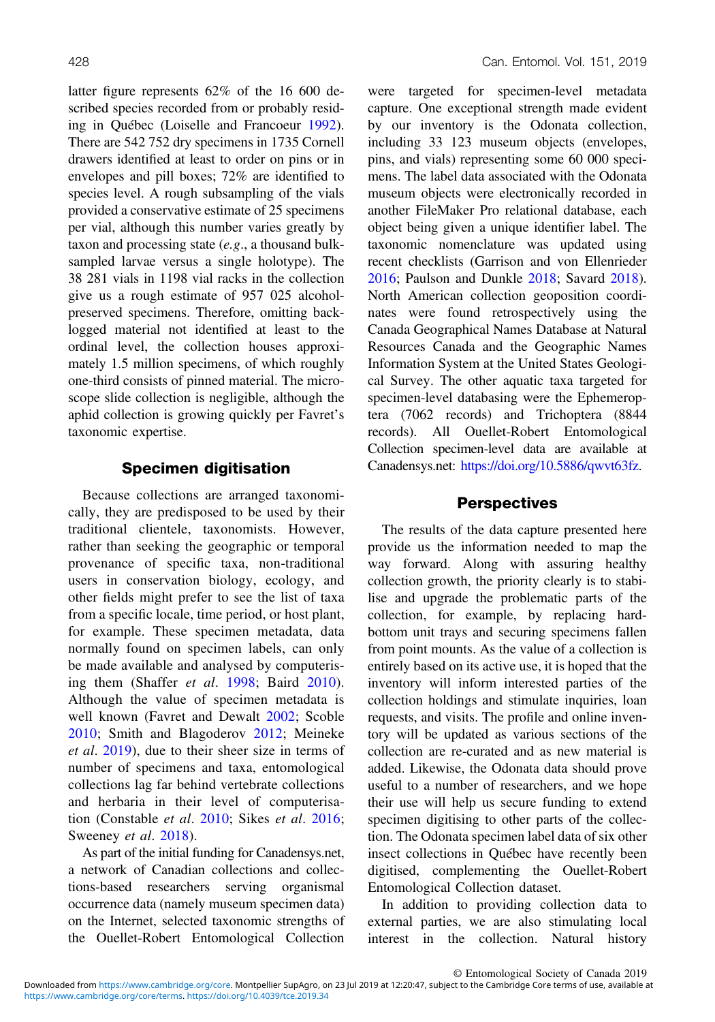latter figure represents 62% of the 16 600 described species recorded from or probably residing in Québec (Loiselle and Francoeur [1992](#page-7-0)). There are 542 752 dry specimens in 1735 Cornell drawers identified at least to order on pins or in envelopes and pill boxes; 72% are identified to species level. A rough subsampling of the vials provided a conservative estimate of 25 specimens per vial, although this number varies greatly by taxon and processing state (e.g., a thousand bulksampled larvae versus a single holotype). The 38 281 vials in 1198 vial racks in the collection give us a rough estimate of 957 025 alcoholpreserved specimens. Therefore, omitting backlogged material not identified at least to the ordinal level, the collection houses approximately 1.5 million specimens, of which roughly one-third consists of pinned material. The microscope slide collection is negligible, although the aphid collection is growing quickly per Favret's taxonomic expertise.

### Specimen digitisation

Because collections are arranged taxonomically, they are predisposed to be used by their traditional clientele, taxonomists. However, rather than seeking the geographic or temporal provenance of specific taxa, non-traditional users in conservation biology, ecology, and other fields might prefer to see the list of taxa from a specific locale, time period, or host plant, for example. These specimen metadata, data normally found on specimen labels, can only be made available and analysed by computerising them (Shaffer et al. [1998](#page-8-0); Baird [2010\)](#page-6-0). Although the value of specimen metadata is well known (Favret and Dewalt [2002](#page-7-0); Scoble [2010](#page-8-0); Smith and Blagoderov [2012](#page-8-0); Meineke et al. [2019\)](#page-7-0), due to their sheer size in terms of number of specimens and taxa, entomological collections lag far behind vertebrate collections and herbaria in their level of computerisation (Constable et al. [2010;](#page-6-0) Sikes et al. [2016](#page-8-0); Sweeney *et al.* [2018](#page-8-0)).

As part of the initial funding for Canadensys.net, a network of Canadian collections and collections-based researchers serving organismal occurrence data (namely museum specimen data) on the Internet, selected taxonomic strengths of the Ouellet-Robert Entomological Collection

were targeted for specimen-level metadata capture. One exceptional strength made evident by our inventory is the Odonata collection, including 33 123 museum objects (envelopes, pins, and vials) representing some 60 000 specimens. The label data associated with the Odonata museum objects were electronically recorded in another FileMaker Pro relational database, each object being given a unique identifier label. The taxonomic nomenclature was updated using recent checklists (Garrison and von Ellenrieder [2016](#page-7-0); Paulson and Dunkle [2018](#page-7-0); Savard [2018](#page-8-0)). North American collection geoposition coordinates were found retrospectively using the Canada Geographical Names Database at Natural Resources Canada and the Geographic Names Information System at the United States Geological Survey. The other aquatic taxa targeted for specimen-level databasing were the Ephemeroptera (7062 records) and Trichoptera (8844 records). All Ouellet-Robert Entomological Collection specimen-level data are available at Canadensys.net: <https://doi.org/10.5886/qwvt63fz>.

#### **Perspectives**

The results of the data capture presented here provide us the information needed to map the way forward. Along with assuring healthy collection growth, the priority clearly is to stabilise and upgrade the problematic parts of the collection, for example, by replacing hardbottom unit trays and securing specimens fallen from point mounts. As the value of a collection is entirely based on its active use, it is hoped that the inventory will inform interested parties of the collection holdings and stimulate inquiries, loan requests, and visits. The profile and online inventory will be updated as various sections of the collection are re-curated and as new material is added. Likewise, the Odonata data should prove useful to a number of researchers, and we hope their use will help us secure funding to extend specimen digitising to other parts of the collection. The Odonata specimen label data of six other insect collections in Québec have recently been digitised, complementing the Ouellet-Robert Entomological Collection dataset.

In addition to providing collection data to external parties, we are also stimulating local interest in the collection. Natural history

© Entomological Society of Canada 2019

[https://www.cambridge.org/core/terms.](https://www.cambridge.org/core/terms) <https://doi.org/10.4039/tce.2019.34> Downloaded from [https://www.cambridge.org/core.](https://www.cambridge.org/core) Montpellier SupAgro, on 23 Jul 2019 at 12:20:47, subject to the Cambridge Core terms of use, available at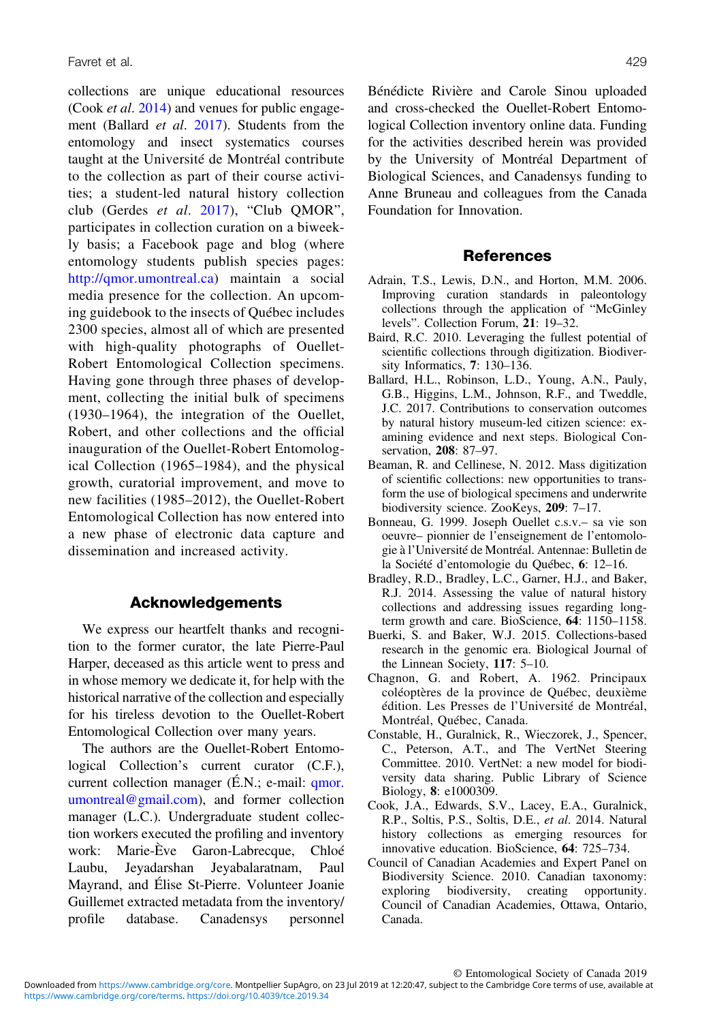<span id="page-6-0"></span>collections are unique educational resources (Cook et al. 2014) and venues for public engagement (Ballard et al. 2017). Students from the entomology and insect systematics courses taught at the Université de Montréal contribute to the collection as part of their course activities; a student-led natural history collection club (Gerdes et al. [2017\)](#page-7-0), "Club QMOR", participates in collection curation on a biweekly basis; a Facebook page and blog (where entomology students publish species pages: [http://qmor.umontreal.ca\)](http://qmor.umontreal.ca) maintain a social media presence for the collection. An upcoming guidebook to the insects of Québec includes 2300 species, almost all of which are presented with high-quality photographs of Ouellet-Robert Entomological Collection specimens. Having gone through three phases of development, collecting the initial bulk of specimens (1930–1964), the integration of the Ouellet, Robert, and other collections and the official inauguration of the Ouellet-Robert Entomological Collection (1965–1984), and the physical growth, curatorial improvement, and move to new facilities (1985–2012), the Ouellet-Robert Entomological Collection has now entered into a new phase of electronic data capture and dissemination and increased activity.

#### Acknowledgements

We express our heartfelt thanks and recognition to the former curator, the late Pierre-Paul Harper, deceased as this article went to press and in whose memory we dedicate it, for help with the historical narrative of the collection and especially for his tireless devotion to the Ouellet-Robert Entomological Collection over many years.

The authors are the Ouellet-Robert Entomological Collection's current curator (C.F.), current collection manager (É.N.; e-mail: [qmor.](mailto:qmor.umontreal@gmail.com) [umontreal@gmail.com](mailto:qmor.umontreal@gmail.com)), and former collection manager (L.C.). Undergraduate student collection workers executed the profiling and inventory umontreal *w* gmail.com), and former collection<br>manager (L.C.). Undergraduate student collec-<br>tion workers executed the profiling and inventory<br>work: Marie-Ève Garon-Labrecque, Chloé Laubu, Jeyadarshan Jeyabalaratnam, Paul work: Marie-Ève Garon-Labrecque, Chloé<br>Laubu, Jeyadarshan Jeyabalaratnam, Paul<br>Mayrand, and Élise St-Pierre. Volunteer Joanie Guillemet extracted metadata from the inventory/ profile database. Canadensys personnel

Bénédicte Rivière and Carole Sinou uploaded 429<br>Bénédicte Rivière and Carole Sinou uploaded<br>and cross-checked the Ouellet-Robert Entomological Collection inventory online data. Funding for the activities described herein was provided by the University of Montréal Department of Biological Sciences, and Canadensys funding to Anne Bruneau and colleagues from the Canada Foundation for Innovation.

#### **References**

- Adrain, T.S., Lewis, D.N., and Horton, M.M. 2006. Improving curation standards in paleontology collections through the application of "McGinley levels". Collection Forum, 21: 19–32.
- Baird, R.C. 2010. Leveraging the fullest potential of scientific collections through digitization. Biodiversity Informatics, 7: 130–136.
- Ballard, H.L., Robinson, L.D., Young, A.N., Pauly, G.B., Higgins, L.M., Johnson, R.F., and Tweddle, J.C. 2017. Contributions to conservation outcomes by natural history museum-led citizen science: examining evidence and next steps. Biological Conservation, 208: 87–97.
- Beaman, R. and Cellinese, N. 2012. Mass digitization of scientific collections: new opportunities to transform the use of biological specimens and underwrite biodiversity science. ZooKeys, 209: 7–17.
- Bonneau, G. 1999. Joseph Ouellet c.s.v.– sa vie son oeuvre– pionnier de l'enseignement de l'entomologie à l'Université de Montréal. Antennae: Bulletin de la Société d'entomologie du Québec, 6: 12–16.
- Bradley, R.D., Bradley, L.C., Garner, H.J., and Baker, R.J. 2014. Assessing the value of natural history collections and addressing issues regarding longterm growth and care. BioScience, 64: 1150–1158.
- Buerki, S. and Baker, W.J. 2015. Collections-based research in the genomic era. Biological Journal of the Linnean Society, 117: 5–10.
- Chagnon, G. and Robert, A. 1962. Principaux coléoptères de la province de Québec, deuxième édition. Les Presses de l'Université de Montréal, Montréal, Québec, Canada.
- Constable, H., Guralnick, R., Wieczorek, J., Spencer, C., Peterson, A.T., and The VertNet Steering Committee. 2010. VertNet: a new model for biodiversity data sharing. Public Library of Science Biology, 8: e1000309.
- Cook, J.A., Edwards, S.V., Lacey, E.A., Guralnick, R.P., Soltis, P.S., Soltis, D.E., et al. 2014. Natural history collections as emerging resources for innovative education. BioScience, 64: 725–734.
- Council of Canadian Academies and Expert Panel on Biodiversity Science. 2010. Canadian taxonomy: exploring biodiversity, creating opportunity. Council of Canadian Academies, Ottawa, Ontario, Canada.

© Entomological Society of Canada 2019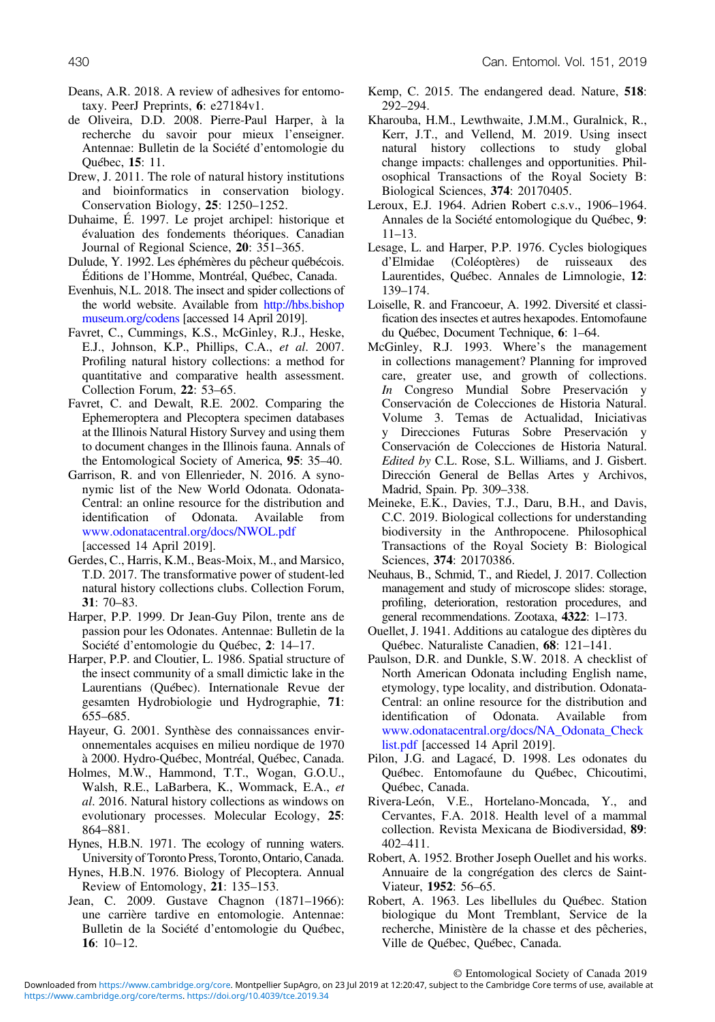- <span id="page-7-0"></span>Deans, A.R. 2018. A review of adhesives for entomotaxy. PeerJ Preprints, 6: e27184v1.
- de Oliveira, D.D. 2008. Pierre-Paul Harper, à la recherche du savoir pour mieux l'enseigner. Antennae: Bulletin de la Société d'entomologie du Québec, 15: 11.
- Drew, J. 2011. The role of natural history institutions and bioinformatics in conservation biology. Conservation Biology, 25: 1250–1252.
- Duhaime, É. 1997. Le projet archipel: historique et évaluation des fondements théoriques. Canadian Journal of Regional Science, 20: 351–365.
- Dulude, Y. 1992. Les éphémères du pêcheur québécois. Éditions de l'Homme, Montréal, Québec, Canada.
- Evenhuis, N.L. 2018. The insect and spider collections of the world website. Available from [http://hbs.bishop](http://hbs.bishopmuseum.org/codens) [museum.org/codens](http://hbs.bishopmuseum.org/codens) [accessed 14 April 2019].
- Favret, C., Cummings, K.S., McGinley, R.J., Heske, E.J., Johnson, K.P., Phillips, C.A., et al. 2007. Profiling natural history collections: a method for quantitative and comparative health assessment. Collection Forum, 22: 53–65.
- Favret, C. and Dewalt, R.E. 2002. Comparing the Ephemeroptera and Plecoptera specimen databases at the Illinois Natural History Survey and using them to document changes in the Illinois fauna. Annals of the Entomological Society of America, 95: 35–40.
- Garrison, R. and von Ellenrieder, N. 2016. A synonymic list of the New World Odonata. Odonata-Central: an online resource for the distribution and identification of Odonata. Available from <www.odonatacentral.org/docs/NWOL.pdf> [accessed 14 April 2019].
- Gerdes, C., Harris, K.M., Beas-Moix, M., and Marsico, T.D. 2017. The transformative power of student-led natural history collections clubs. Collection Forum, 31: 70–83.
- Harper, P.P. 1999. Dr Jean-Guy Pilon, trente ans de passion pour les Odonates. Antennae: Bulletin de la Société d'entomologie du Québec, 2: 14–17.
- Harper, P.P. and Cloutier, L. 1986. Spatial structure of the insect community of a small dimictic lake in the Laurentians (Québec). Internationale Revue der gesamten Hydrobiologie und Hydrographie, 71: 655–685.
- Hayeur, G. 2001. Synthèse des connaissances environnementales acquises en milieu nordique de 1970 à 2000. Hydro-Québec, Montréal, Québec, Canada.
- Holmes, M.W., Hammond, T.T., Wogan, G.O.U., Walsh, R.E., LaBarbera, K., Wommack, E.A., et al. 2016. Natural history collections as windows on evolutionary processes. Molecular Ecology, 25: 864–881.
- Hynes, H.B.N. 1971. The ecology of running waters. University of Toronto Press, Toronto, Ontario, Canada.
- Hynes, H.B.N. 1976. Biology of Plecoptera. Annual Review of Entomology, 21: 135–153.
- Jean, C. 2009. Gustave Chagnon (1871–1966): une carrière tardive en entomologie. Antennae: Bulletin de la Société d'entomologie du Québec, 16: 10–12.
- Kemp, C. 2015. The endangered dead. Nature, 518: 292–294.
- Kharouba, H.M., Lewthwaite, J.M.M., Guralnick, R., Kerr, J.T., and Vellend, M. 2019. Using insect natural history collections to study global change impacts: challenges and opportunities. Philosophical Transactions of the Royal Society B: Biological Sciences, 374: 20170405.
- Leroux, E.J. 1964. Adrien Robert c.s.v., 1906–1964. Annales de la Société entomologique du Québec, 9:  $11-13$
- Lesage, L. and Harper, P.P. 1976. Cycles biologiques d'Elmidae (Coléoptères) de ruisseaux des Laurentides, Québec. Annales de Limnologie, 12: 139–174.
- Loiselle, R. and Francoeur, A. 1992. Diversité et classification des insectes et autres hexapodes. Entomofaune du Québec, Document Technique, 6: 1–64.
- McGinley, R.J. 1993. Where's the management in collections management? Planning for improved care, greater use, and growth of collections.  $In$  Congreso Mundial Sobre Preservación y Conservación de Colecciones de Historia Natural. Volume 3. Temas de Actualidad, Iniciativas Direcciones Futuras Sobre Preservación y Conservación de Colecciones de Historia Natural. Edited by C.L. Rose, S.L. Williams, and J. Gisbert. Dirección General de Bellas Artes y Archivos, Madrid, Spain. Pp. 309–338.
- Meineke, E.K., Davies, T.J., Daru, B.H., and Davis, C.C. 2019. Biological collections for understanding biodiversity in the Anthropocene. Philosophical Transactions of the Royal Society B: Biological Sciences, 374: 20170386.
- Neuhaus, B., Schmid, T., and Riedel, J. 2017. Collection management and study of microscope slides: storage, profiling, deterioration, restoration procedures, and general recommendations. Zootaxa, 4322: 1–173.
- Ouellet, J. 1941. Additions au catalogue des diptères du Québec. Naturaliste Canadien, 68: 121–141.
- Paulson, D.R. and Dunkle, S.W. 2018. A checklist of North American Odonata including English name, etymology, type locality, and distribution. Odonata-Central: an online resource for the distribution and identification of Odonata. Available from [www.odonatacentral.org/docs/NA\\_Odonata\\_Check](www.odonatacentral.org/docs/NA_Odonata_Checklist.pdf) [list.pdf](www.odonatacentral.org/docs/NA_Odonata_Checklist.pdf) [accessed 14 April 2019].
- Pilon, J.G. and Lagacé, D. 1998. Les odonates du Québec. Entomofaune du Québec, Chicoutimi, Québec, Canada.
- Rivera-León, V.E., Hortelano-Moncada, Y., and Cervantes, F.A. 2018. Health level of a mammal collection. Revista Mexicana de Biodiversidad, 89: 402–411.
- Robert, A. 1952. Brother Joseph Ouellet and his works. Annuaire de la congrégation des clercs de Saint-Viateur, 1952: 56–65.
- Robert, A. 1963. Les libellules du Québec. Station biologique du Mont Tremblant, Service de la recherche, Ministère de la chasse et des pêcheries, Ville de Québec, Québec, Canada.